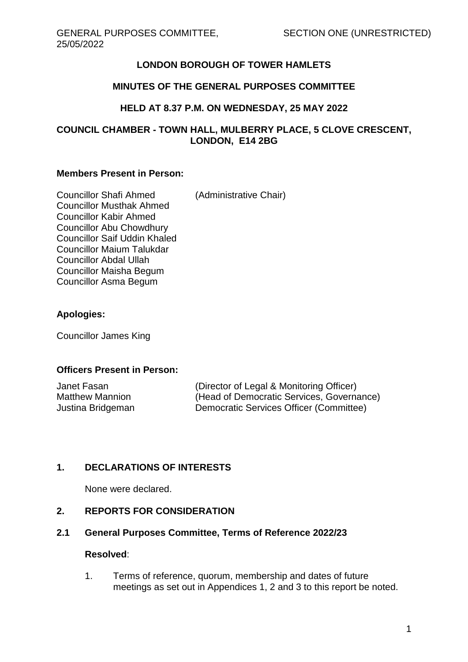# **LONDON BOROUGH OF TOWER HAMLETS**

## **MINUTES OF THE GENERAL PURPOSES COMMITTEE**

## **HELD AT 8.37 P.M. ON WEDNESDAY, 25 MAY 2022**

### **COUNCIL CHAMBER - TOWN HALL, MULBERRY PLACE, 5 CLOVE CRESCENT, LONDON, E14 2BG**

#### **Members Present in Person:**

| <b>Councillor Shafi Ahmed</b>       | (Administrative Chair) |
|-------------------------------------|------------------------|
| <b>Councillor Musthak Ahmed</b>     |                        |
| <b>Councillor Kabir Ahmed</b>       |                        |
| Councillor Abu Chowdhury            |                        |
| <b>Councillor Saif Uddin Khaled</b> |                        |
| <b>Councillor Maium Talukdar</b>    |                        |
| <b>Councillor Abdal Ullah</b>       |                        |
| Councillor Maisha Begum             |                        |
| Councillor Asma Begum               |                        |
|                                     |                        |

## **Apologies:**

Councillor James King

#### **Officers Present in Person:**

| Janet Fasan            |  |
|------------------------|--|
| <b>Matthew Mannion</b> |  |
| Justina Bridgeman      |  |

(Director of Legal & Monitoring Officer) (Head of Democratic Services, Governance) Democratic Services Officer (Committee)

### **1. DECLARATIONS OF INTERESTS**

None were declared.

### **2. REPORTS FOR CONSIDERATION**

### **2.1 General Purposes Committee, Terms of Reference 2022/23**

#### **Resolved**:

1. Terms of reference, quorum, membership and dates of future meetings as set out in Appendices 1, 2 and 3 to this report be noted.